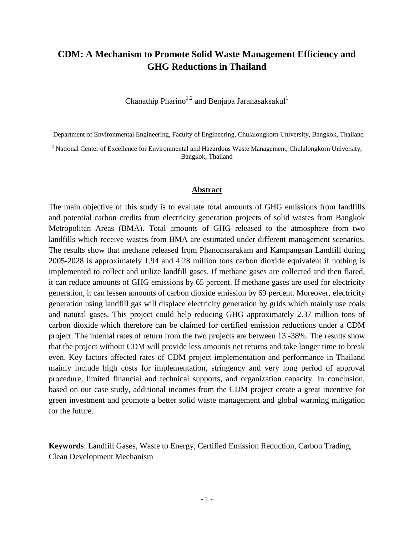# **CDM: A Mechanism to Promote Solid Waste Management Efficiency and GHG Reductions in Thailand**

Chanathip Pharino<sup>1,2</sup> and Benjapa Jaranasaksakul<sup>1</sup>

<sup>1</sup> Department of Environmental Engineering, Faculty of Engineering, Chulalongkorn University, Bangkok, Thailand

<sup>2</sup> National Center of Excellence for Environmental and Hazardous Waste Management, Chulalongkorn University, Bangkok, Thailand

### **Abstract**

The main objective of this study is to evaluate total amounts of GHG emissions from landfills and potential carbon credits from electricity generation projects of solid wastes from Bangkok Metropolitan Areas (BMA). Total amounts of GHG released to the atmosphere from two landfills which receive wastes from BMA are estimated under different management scenarios. The results show that methane released from Phanomsarakam and Kampangsan Landfill during 2005-2028 is approximately 1.94 and 4.28 million tons carbon dioxide equivalent if nothing is implemented to collect and utilize landfill gases. If methane gases are collected and then flared, it can reduce amounts of GHG emissions by 65 percent. If methane gases are used for electricity generation, it can lessen amounts of carbon dioxide emission by 69 percent. Moreover, electricity generation using landfill gas will displace electricity generation by grids which mainly use coals and natural gases. This project could help reducing GHG approximately 2.37 million tons of carbon dioxide which therefore can be claimed for certified emission reductions under a CDM project. The internal rates of return from the two projects are between 13 -38%. The results show that the project without CDM will provide less amounts net returns and take longer time to break even. Key factors affected rates of CDM project implementation and performance in Thailand mainly include high costs for implementation, stringency and very long period of approval procedure, limited financial and technical supports, and organization capacity. In conclusion, based on our case study, additional incomes from the CDM project create a great incentive for green investment and promote a better solid waste management and global warming mitigation for the future.

**Keywords**: Landfill Gases, Waste to Energy, Certified Emission Reduction, Carbon Trading, Clean Development Mechanism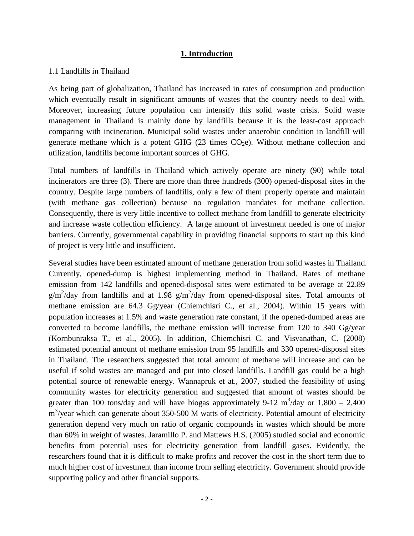## **1. Introduction**

### 1.1 Landfills in Thailand

As being part of globalization, Thailand has increased in rates of consumption and production which eventually result in significant amounts of wastes that the country needs to deal with. Moreover, increasing future population can intensify this solid waste crisis. Solid waste management in Thailand is mainly done by landfills because it is the least-cost approach comparing with incineration. Municipal solid wastes under anaerobic condition in landfill will generate methane which is a potent GHG (23 times  $CO<sub>2</sub>e$ ). Without methane collection and utilization, landfills become important sources of GHG.

Total numbers of landfills in Thailand which actively operate are ninety (90) while total incinerators are three (3). There are more than three hundreds (300) opened-disposal sites in the country. Despite large numbers of landfills, only a few of them properly operate and maintain (with methane gas collection) because no regulation mandates for methane collection. Consequently, there is very little incentive to collect methane from landfill to generate electricity and increase waste collection efficiency. A large amount of investment needed is one of major barriers. Currently, governmental capability in providing financial supports to start up this kind of project is very little and insufficient.

Several studies have been estimated amount of methane generation from solid wastes in Thailand. Currently, opened-dump is highest implementing method in Thailand. Rates of methane emission from 142 landfills and opened-disposal sites were estimated to be average at 22.89  $g/m^2$ /day from landfills and at 1.98  $g/m^2$ /day from opened-disposal sites. Total amounts of methane emission are 64.3 Gg/year (Chiemchisri C., et al., 2004). Within 15 years with population increases at 1.5% and waste generation rate constant, if the opened-dumped areas are converted to become landfills, the methane emission will increase from 120 to 340 Gg/year (Kornbunraksa T., et al., 2005). In addition, Chiemchisri C. and Visvanathan, C. (2008) estimated potential amount of methane emission from 95 landfills and 330 opened-disposal sites in Thailand. The researchers suggested that total amount of methane will increase and can be useful if solid wastes are managed and put into closed landfills. Landfill gas could be a high potential source of renewable energy. Wannapruk et at., 2007, studied the feasibility of using community wastes for electricity generation and suggested that amount of wastes should be greater than 100 tons/day and will have biogas approximately 9-12  $\text{m}^3/\text{day}$  or 1,800 – 2,400 m<sup>3</sup>/year which can generate about 350-500 M watts of electricity. Potential amount of electricity generation depend very much on ratio of organic compounds in wastes which should be more than 60% in weight of wastes. Jaramillo P. and Mattews H.S. (2005) studied social and economic benefits from potential uses for electricity generation from landfill gases. Evidently, the researchers found that it is difficult to make profits and recover the cost in the short term due to much higher cost of investment than income from selling electricity. Government should provide supporting policy and other financial supports.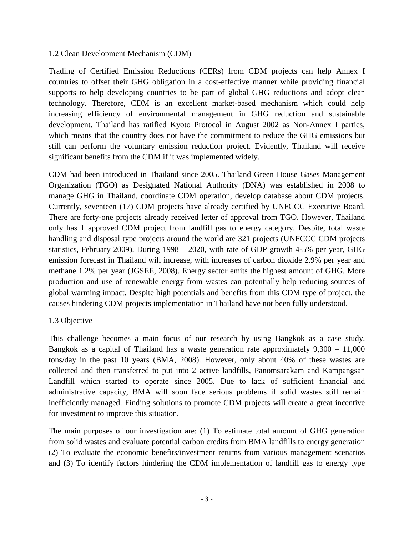## 1.2 Clean Development Mechanism (CDM)

Trading of Certified Emission Reductions (CERs) from CDM projects can help Annex I countries to offset their GHG obligation in a cost-effective manner while providing financial supports to help developing countries to be part of global GHG reductions and adopt clean technology. Therefore, CDM is an excellent market-based mechanism which could help increasing efficiency of environmental management in GHG reduction and sustainable development. Thailand has ratified Kyoto Protocol in August 2002 as Non-Annex I parties, which means that the country does not have the commitment to reduce the GHG emissions but still can perform the voluntary emission reduction project. Evidently, Thailand will receive significant benefits from the CDM if it was implemented widely.

CDM had been introduced in Thailand since 2005. Thailand Green House Gases Management Organization (TGO) as Designated National Authority (DNA) was established in 2008 to manage GHG in Thailand, coordinate CDM operation, develop database about CDM projects. Currently, seventeen (17) CDM projects have already certified by UNFCCC Executive Board. There are forty-one projects already received letter of approval from TGO. However, Thailand only has 1 approved CDM project from landfill gas to energy category. Despite, total waste handling and disposal type projects around the world are 321 projects (UNFCCC CDM projects statistics, February 2009). During 1998 – 2020, with rate of GDP growth 4-5% per year, GHG emission forecast in Thailand will increase, with increases of carbon dioxide 2.9% per year and methane 1.2% per year (JGSEE, 2008). Energy sector emits the highest amount of GHG. More production and use of renewable energy from wastes can potentially help reducing sources of global warming impact. Despite high potentials and benefits from this CDM type of project, the causes hindering CDM projects implementation in Thailand have not been fully understood.

## 1.3 Objective

This challenge becomes a main focus of our research by using Bangkok as a case study. Bangkok as a capital of Thailand has a waste generation rate approximately 9,300 – 11,000 tons/day in the past 10 years (BMA, 2008). However, only about 40% of these wastes are collected and then transferred to put into 2 active landfills, Panomsarakam and Kampangsan Landfill which started to operate since 2005. Due to lack of sufficient financial and administrative capacity, BMA will soon face serious problems if solid wastes still remain inefficiently managed. Finding solutions to promote CDM projects will create a great incentive for investment to improve this situation.

The main purposes of our investigation are: (1) To estimate total amount of GHG generation from solid wastes and evaluate potential carbon credits from BMA landfills to energy generation (2) To evaluate the economic benefits/investment returns from various management scenarios and (3) To identify factors hindering the CDM implementation of landfill gas to energy type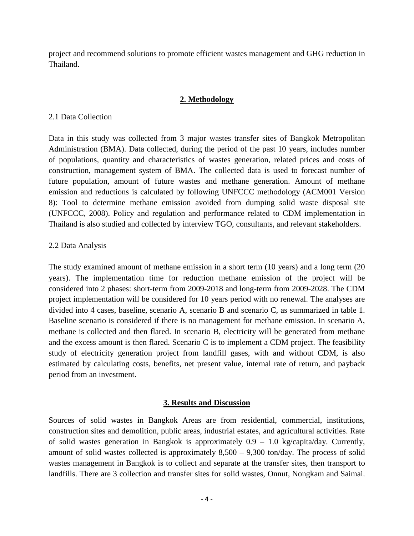project and recommend solutions to promote efficient wastes management and GHG reduction in Thailand.

### **2. Methodology**

### 2.1 Data Collection

Data in this study was collected from 3 major wastes transfer sites of Bangkok Metropolitan Administration (BMA). Data collected, during the period of the past 10 years, includes number of populations, quantity and characteristics of wastes generation, related prices and costs of construction, management system of BMA. The collected data is used to forecast number of future population, amount of future wastes and methane generation. Amount of methane emission and reductions is calculated by following UNFCCC methodology (ACM001 Version 8): Tool to determine methane emission avoided from dumping solid waste disposal site (UNFCCC, 2008). Policy and regulation and performance related to CDM implementation in Thailand is also studied and collected by interview TGO, consultants, and relevant stakeholders.

## 2.2 Data Analysis

The study examined amount of methane emission in a short term (10 years) and a long term (20 years). The implementation time for reduction methane emission of the project will be considered into 2 phases: short-term from 2009-2018 and long-term from 2009-2028. The CDM project implementation will be considered for 10 years period with no renewal. The analyses are divided into 4 cases, baseline, scenario A, scenario B and scenario C, as summarized in table 1. Baseline scenario is considered if there is no management for methane emission. In scenario A, methane is collected and then flared. In scenario B, electricity will be generated from methane and the excess amount is then flared. Scenario C is to implement a CDM project. The feasibility study of electricity generation project from landfill gases, with and without CDM, is also estimated by calculating costs, benefits, net present value, internal rate of return, and payback period from an investment.

### **3. Results and Discussion**

Sources of solid wastes in Bangkok Areas are from residential, commercial, institutions, construction sites and demolition, public areas, industrial estates, and agricultural activities. Rate of solid wastes generation in Bangkok is approximately 0.9 – 1.0 kg/capita/day. Currently, amount of solid wastes collected is approximately  $8,500 - 9,300$  ton/day. The process of solid wastes management in Bangkok is to collect and separate at the transfer sites, then transport to landfills. There are 3 collection and transfer sites for solid wastes, Onnut, Nongkam and Saimai.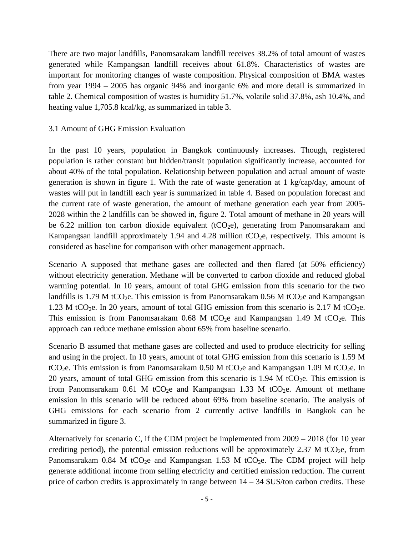There are two major landfills, Panomsarakam landfill receives 38.2% of total amount of wastes generated while Kampangsan landfill receives about 61.8%. Characteristics of wastes are important for monitoring changes of waste composition. Physical composition of BMA wastes from year 1994 – 2005 has organic 94% and inorganic 6% and more detail is summarized in table 2. Chemical composition of wastes is humidity 51.7%, volatile solid 37.8%, ash 10.4%, and heating value 1,705.8 kcal/kg, as summarized in table 3.

## 3.1 Amount of GHG Emission Evaluation

In the past 10 years, population in Bangkok continuously increases. Though, registered population is rather constant but hidden/transit population significantly increase, accounted for about 40% of the total population. Relationship between population and actual amount of waste generation is shown in figure 1. With the rate of waste generation at 1 kg/cap/day, amount of wastes will put in landfill each year is summarized in table 4. Based on population forecast and the current rate of waste generation, the amount of methane generation each year from 2005- 2028 within the 2 landfills can be showed in, figure 2. Total amount of methane in 20 years will be 6.22 million ton carbon dioxide equivalent ( $tCO<sub>2</sub>e$ ), generating from Panomsarakam and Kampangsan landfill approximately 1.94 and 4.28 million  $tCO_2e$ , respectively. This amount is considered as baseline for comparison with other management approach.

Scenario A supposed that methane gases are collected and then flared (at 50% efficiency) without electricity generation. Methane will be converted to carbon dioxide and reduced global warming potential. In 10 years, amount of total GHG emission from this scenario for the two landfills is 1.79 M tCO<sub>2</sub>e. This emission is from Panomsarakam 0.56 M tCO<sub>2</sub>e and Kampangsan 1.23 M tCO<sub>2</sub>e. In 20 years, amount of total GHG emission from this scenario is 2.17 M tCO<sub>2</sub>e. This emission is from Panomsarakam 0.68 M tCO<sub>2</sub>e and Kampangsan 1.49 M tCO<sub>2</sub>e. This approach can reduce methane emission about 65% from baseline scenario.

Scenario B assumed that methane gases are collected and used to produce electricity for selling and using in the project. In 10 years, amount of total GHG emission from this scenario is 1.59 M tCO<sub>2</sub>e. This emission is from Panomsarakam 0.50 M tCO<sub>2</sub>e and Kampangsan 1.09 M tCO<sub>2</sub>e. In 20 years, amount of total GHG emission from this scenario is  $1.94$  M tCO<sub>2</sub>e. This emission is from Panomsarakam 0.61 M tCO<sub>2</sub>e and Kampangsan 1.33 M tCO<sub>2</sub>e. Amount of methane emission in this scenario will be reduced about 69% from baseline scenario. The analysis of GHG emissions for each scenario from 2 currently active landfills in Bangkok can be summarized in figure 3.

Alternatively for scenario C, if the CDM project be implemented from 2009 – 2018 (for 10 year crediting period), the potential emission reductions will be approximately 2.37 M tCO<sub>2</sub>e, from Panomsarakam  $0.84$  M tCO<sub>2</sub>e and Kampangsan 1.53 M tCO<sub>2</sub>e. The CDM project will help generate additional income from selling electricity and certified emission reduction. The current price of carbon credits is approximately in range between  $14 - 34$  \$US/ton carbon credits. These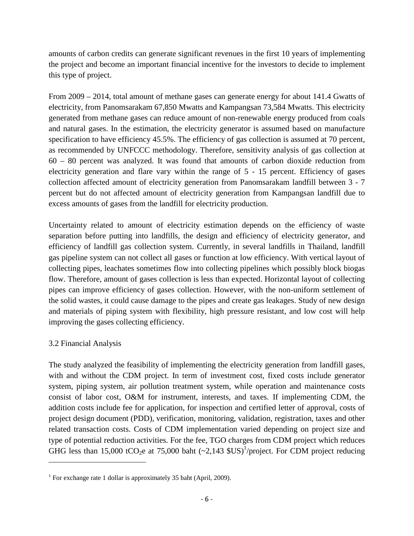amounts of carbon credits can generate significant revenues in the first 10 years of implementing the project and become an important financial incentive for the investors to decide to implement this type of project.

From 2009 – 2014, total amount of methane gases can generate energy for about 141.4 Gwatts of electricity, from Panomsarakam 67,850 Mwatts and Kampangsan 73,584 Mwatts. This electricity generated from methane gases can reduce amount of non-renewable energy produced from coals and natural gases. In the estimation, the electricity generator is assumed based on manufacture specification to have efficiency 45.5%. The efficiency of gas collection is assumed at 70 percent, as recommended by UNFCCC methodology. Therefore, sensitivity analysis of gas collection at 60 – 80 percent was analyzed. It was found that amounts of carbon dioxide reduction from electricity generation and flare vary within the range of 5 - 15 percent. Efficiency of gases collection affected amount of electricity generation from Panomsarakam landfill between 3 - 7 percent but do not affected amount of electricity generation from Kampangsan landfill due to excess amounts of gases from the landfill for electricity production.

Uncertainty related to amount of electricity estimation depends on the efficiency of waste separation before putting into landfills, the design and efficiency of electricity generator, and efficiency of landfill gas collection system. Currently, in several landfills in Thailand, landfill gas pipeline system can not collect all gases or function at low efficiency. With vertical layout of collecting pipes, leachates sometimes flow into collecting pipelines which possibly block biogas flow. Therefore, amount of gases collection is less than expected. Horizontal layout of collecting pipes can improve efficiency of gases collection. However, with the non-uniform settlement of the solid wastes, it could cause damage to the pipes and create gas leakages. Study of new design and materials of piping system with flexibility, high pressure resistant, and low cost will help improving the gases collecting efficiency.

# 3.2 Financial Analysis

The study analyzed the feasibility of implementing the electricity generation from landfill gases, with and without the CDM project. In term of investment cost, fixed costs include generator system, piping system, air pollution treatment system, while operation and maintenance costs consist of labor cost, O&M for instrument, interests, and taxes. If implementing CDM, the addition costs include fee for application, for inspection and certified letter of approval, costs of project design document (PDD), verification, monitoring, validation, registration, taxes and other related transaction costs. Costs of CDM implementation varied depending on project size and type of potential reduction activities. For the fee, TGO charges from CDM project which reduces GHGless than 15,000 tCO<sub>2</sub>e at 75,000 baht  $(\sim 2,143 \text{ SUS})^1$ /project. For CDM project reducing

<span id="page-5-0"></span><sup>&</sup>lt;sup>1</sup> For exchange rate 1 dollar is approximately 35 baht (April, 2009).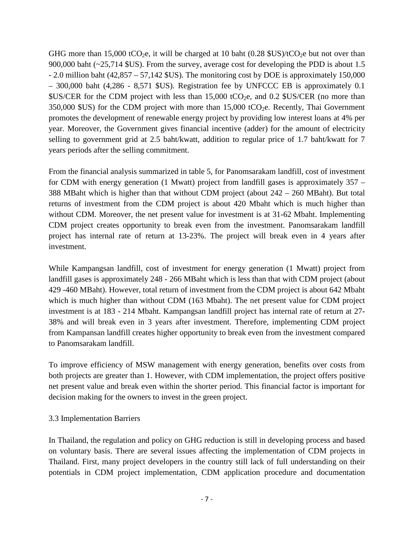GHG more than 15,000 tCO<sub>2</sub>e, it will be charged at 10 baht (0.28 \$US)/tCO<sub>2</sub>e but not over than 900,000 baht (~25,714 \$US). From the survey, average cost for developing the PDD is about 1.5 - 2.0 million baht (42,857 – 57,142 \$US). The monitoring cost by DOE is approximately 150,000 – 300,000 baht (4,286 - 8,571 \$US). Registration fee by UNFCCC EB is approximately 0.1  $US/CER$  for the CDM project with less than 15,000 tCO<sub>2</sub>e, and 0.2  $US/CER$  (no more than  $350,000$  \$US) for the CDM project with more than  $15,000$  tCO<sub>2</sub>e. Recently, Thai Government promotes the development of renewable energy project by providing low interest loans at 4% per year. Moreover, the Government gives financial incentive (adder) for the amount of electricity selling to government grid at 2.5 baht/kwatt, addition to regular price of 1.7 baht/kwatt for 7 years periods after the selling commitment.

From the financial analysis summarized in table 5, for Panomsarakam landfill, cost of investment for CDM with energy generation (1 Mwatt) project from landfill gases is approximately 357 – 388 MBaht which is higher than that without CDM project (about 242 – 260 MBaht). But total returns of investment from the CDM project is about 420 Mbaht which is much higher than without CDM. Moreover, the net present value for investment is at 31-62 Mbaht. Implementing CDM project creates opportunity to break even from the investment. Panomsarakam landfill project has internal rate of return at 13-23%. The project will break even in 4 years after investment.

While Kampangsan landfill, cost of investment for energy generation (1 Mwatt) project from landfill gases is approximately 248 - 266 MBaht which is less than that with CDM project (about 429 -460 MBaht). However, total return of investment from the CDM project is about 642 Mbaht which is much higher than without CDM (163 Mbaht). The net present value for CDM project investment is at 183 - 214 Mbaht. Kampangsan landfill project has internal rate of return at 27- 38% and will break even in 3 years after investment. Therefore, implementing CDM project from Kampansan landfill creates higher opportunity to break even from the investment compared to Panomsarakam landfill.

To improve efficiency of MSW management with energy generation, benefits over costs from both projects are greater than 1. However, with CDM implementation, the project offers positive net present value and break even within the shorter period. This financial factor is important for decision making for the owners to invest in the green project.

## 3.3 Implementation Barriers

In Thailand, the regulation and policy on GHG reduction is still in developing process and based on voluntary basis. There are several issues affecting the implementation of CDM projects in Thailand. First, many project developers in the country still lack of full understanding on their potentials in CDM project implementation, CDM application procedure and documentation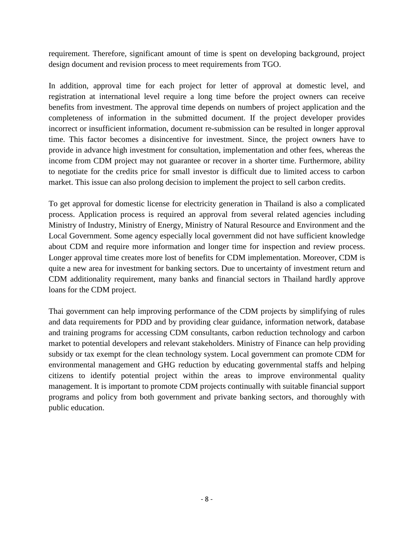requirement. Therefore, significant amount of time is spent on developing background, project design document and revision process to meet requirements from TGO.

In addition, approval time for each project for letter of approval at domestic level, and registration at international level require a long time before the project owners can receive benefits from investment. The approval time depends on numbers of project application and the completeness of information in the submitted document. If the project developer provides incorrect or insufficient information, document re-submission can be resulted in longer approval time. This factor becomes a disincentive for investment. Since, the project owners have to provide in advance high investment for consultation, implementation and other fees, whereas the income from CDM project may not guarantee or recover in a shorter time. Furthermore, ability to negotiate for the credits price for small investor is difficult due to limited access to carbon market. This issue can also prolong decision to implement the project to sell carbon credits.

To get approval for domestic license for electricity generation in Thailand is also a complicated process. Application process is required an approval from several related agencies including Ministry of Industry, Ministry of Energy, Ministry of Natural Resource and Environment and the Local Government. Some agency especially local government did not have sufficient knowledge about CDM and require more information and longer time for inspection and review process. Longer approval time creates more lost of benefits for CDM implementation. Moreover, CDM is quite a new area for investment for banking sectors. Due to uncertainty of investment return and CDM additionality requirement, many banks and financial sectors in Thailand hardly approve loans for the CDM project.

Thai government can help improving performance of the CDM projects by simplifying of rules and data requirements for PDD and by providing clear guidance, information network, database and training programs for accessing CDM consultants, carbon reduction technology and carbon market to potential developers and relevant stakeholders. Ministry of Finance can help providing subsidy or tax exempt for the clean technology system. Local government can promote CDM for environmental management and GHG reduction by educating governmental staffs and helping citizens to identify potential project within the areas to improve environmental quality management. It is important to promote CDM projects continually with suitable financial support programs and policy from both government and private banking sectors, and thoroughly with public education.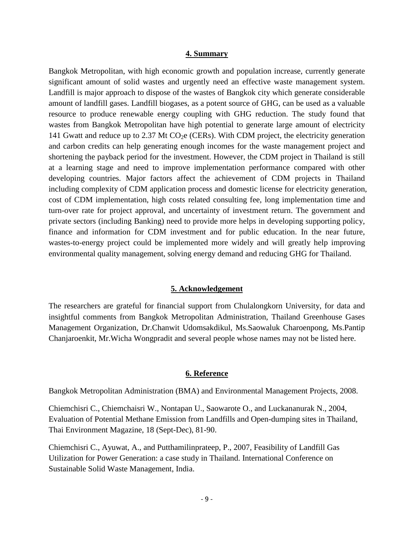#### **4. Summary**

Bangkok Metropolitan, with high economic growth and population increase, currently generate significant amount of solid wastes and urgently need an effective waste management system. Landfill is major approach to dispose of the wastes of Bangkok city which generate considerable amount of landfill gases. Landfill biogases, as a potent source of GHG, can be used as a valuable resource to produce renewable energy coupling with GHG reduction. The study found that wastes from Bangkok Metropolitan have high potential to generate large amount of electricity 141 Gwatt and reduce up to 2.37 Mt  $CO<sub>2</sub>e$  (CERs). With CDM project, the electricity generation and carbon credits can help generating enough incomes for the waste management project and shortening the payback period for the investment. However, the CDM project in Thailand is still at a learning stage and need to improve implementation performance compared with other developing countries. Major factors affect the achievement of CDM projects in Thailand including complexity of CDM application process and domestic license for electricity generation, cost of CDM implementation, high costs related consulting fee, long implementation time and turn-over rate for project approval, and uncertainty of investment return. The government and private sectors (including Banking) need to provide more helps in developing supporting policy, finance and information for CDM investment and for public education. In the near future, wastes-to-energy project could be implemented more widely and will greatly help improving environmental quality management, solving energy demand and reducing GHG for Thailand.

#### **5. Acknowledgement**

The researchers are grateful for financial support from Chulalongkorn University, for data and insightful comments from Bangkok Metropolitan Administration, Thailand Greenhouse Gases Management Organization, Dr.Chanwit Udomsakdikul, Ms.Saowaluk Charoenpong, Ms.Pantip Chanjaroenkit, Mr.Wicha Wongpradit and several people whose names may not be listed here.

### **6. Reference**

Bangkok Metropolitan Administration (BMA) and Environmental Management Projects, 2008.

Chiemchisri C., Chiemchaisri W., Nontapan U., Saowarote O., and Luckananurak N., 2004, Evaluation of Potential Methane Emission from Landfills and Open-dumping sites in Thailand, Thai Environment Magazine, 18 (Sept-Dec), 81-90.

Chiemchisri C., Ayuwat, A., and Putthamilinprateep, P., 2007, Feasibility of Landfill Gas Utilization for Power Generation: a case study in Thailand. International Conference on Sustainable Solid Waste Management, India.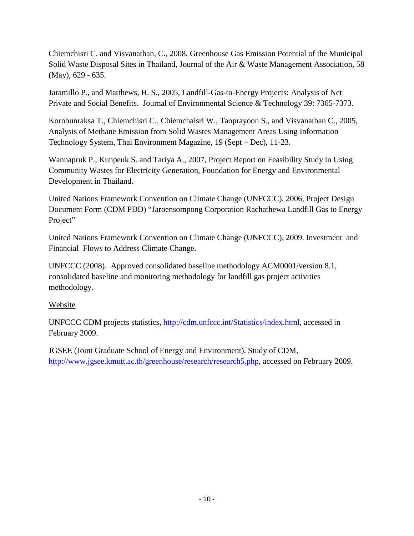Chiemchisri C. and Visvanathan, C., 2008, Greenhouse Gas Emission Potential of the Municipal Solid Waste Disposal Sites in Thailand, Journal of the Air & Waste Management Association, 58 (May), 629 - 635.

Jaramillo P., and Matthews, H. S., 2005, Landfill-Gas-to-Energy Projects: Analysis of Net Private and Social Benefits. Journal of Environmental Science & Technology 39: 7365-7373.

Kornbunraksa T., Chiemchisri C., Chiemchaisri W., Taoprayoon S., and Visvanathan C., 2005, Analysis of Methane Emission from Solid Wastes Management Areas Using Information Technology System, Thai Environment Magazine, 19 (Sept – Dec), 11-23.

Wannapruk P., Kunpeuk S. and Tariya A., 2007, Project Report on Feasibility Study in Using Community Wastes for Electricity Generation, Foundation for Energy and Environmental Development in Thailand.

United Nations Framework Convention on Climate Change (UNFCCC), 2006, Project Design Document Form (CDM PDD) "Jaroensompong Corporation Rachathewa Landfill Gas to Energy Project"

United Nations Framework Convention on Climate Change (UNFCCC), 2009. Investment and Financial Flows to Address Climate Change.

UNFCCC (2008). Approved consolidated baseline methodology ACM0001/version 8.1, consolidated baseline and monitoring methodology for landfill gas project activities methodology.

# Website

UNFCCC CDM projects statistics, <http://cdm.unfccc.int/Statistics/index.html>, accessed in February 2009.

JGSEE (Joint Graduate School of Energy and Environment), Study of CDM, [http://www.jgsee.kmutt.ac.th/greenhouse/research/research5.php,](http://www.jgsee.kmutt.ac.th/greenhouse/research/research5.php) accessed on February 2009.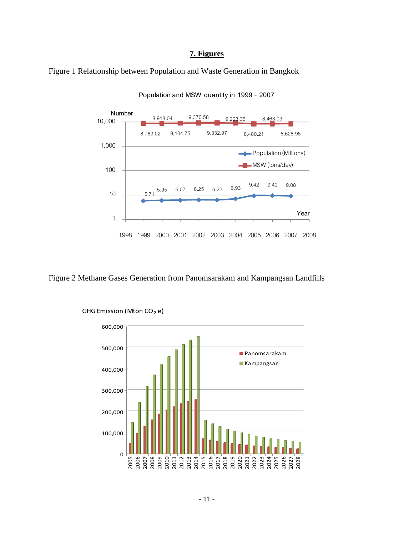## **7. Figures**





**Population and MSW quantity in 1999 - 2007**

Figure 2 Methane Gases Generation from Panomsarakam and Kampangsan Landfills



GHG Emission (Mton CO<sub>2</sub> e)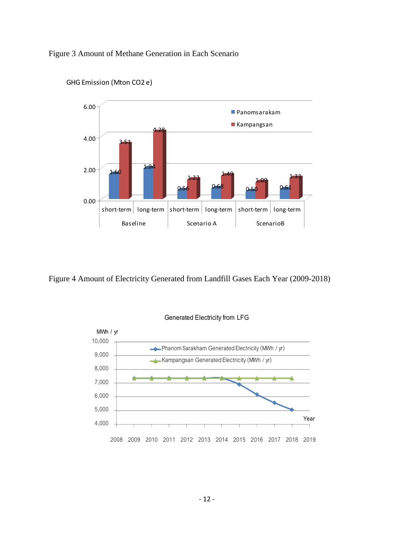## Figure 3 Amount of Methane Generation in Each Scenario



GHG Emission (Mton CO2 e)

Figure 4 Amount of Electricity Generated from Landfill Gases Each Year (2009-2018)



#### **Generated Electricity from LFG**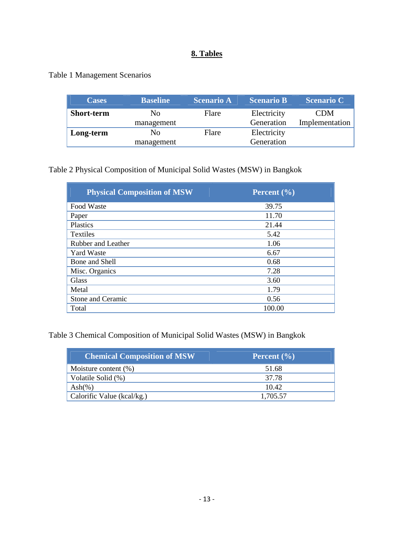# **8. Tables**

Table 1 Management Scenarios

| <b>Cases</b>      | <b>Baseline</b> | <b>Scenario A</b> | <b>Scenario B</b> | <b>Scenario C</b> |
|-------------------|-----------------|-------------------|-------------------|-------------------|
| <b>Short-term</b> | N <sub>0</sub>  | Flare             | Electricity       | <b>CDM</b>        |
|                   | management      |                   | Generation        | Implementation    |
| Long-term         | No              | Flare             | Electricity       |                   |
|                   | management      |                   | Generation        |                   |

Table 2 Physical Composition of Municipal Solid Wastes (MSW) in Bangkok

| <b>Physical Composition of MSW</b> | Percent $(\% )$ |
|------------------------------------|-----------------|
| Food Waste                         | 39.75           |
| Paper                              | 11.70           |
| <b>Plastics</b>                    | 21.44           |
| <b>Textiles</b>                    | 5.42            |
| Rubber and Leather                 | 1.06            |
| <b>Yard Waste</b>                  | 6.67            |
| Bone and Shell                     | 0.68            |
| Misc. Organics                     | 7.28            |
| Glass                              | 3.60            |
| Metal                              | 1.79            |
| Stone and Ceramic                  | 0.56            |
| Total                              | 100.00          |

Table 3 Chemical Composition of Municipal Solid Wastes (MSW) in Bangkok

| <b>Chemical Composition of MSW</b> | Percent $\left(\frac{0}{0}\right)$ |
|------------------------------------|------------------------------------|
| Moisture content $(\%)$            | 51.68                              |
| Volatile Solid (%)                 | 37.78                              |
| $\text{Ash}(\%)$                   | 10.42                              |
| Calorific Value ( $kcal/kg$ .)     | 1.705.57                           |